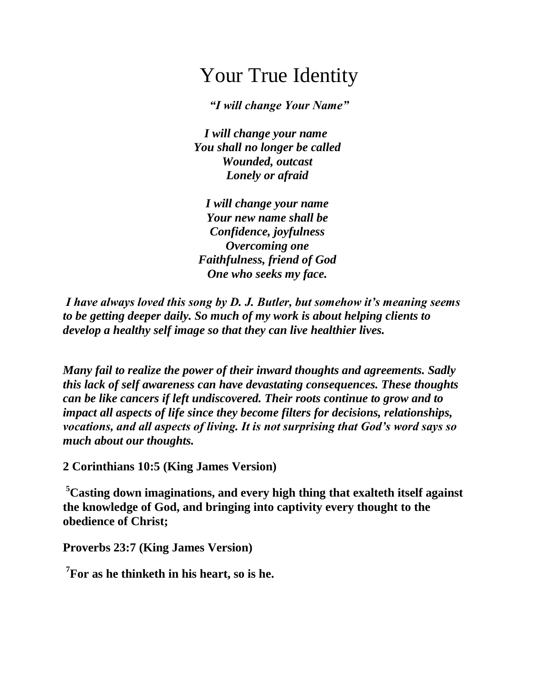## Your True Identity

*"I will change Your Name"*

*I will change your name You shall no longer be called Wounded, outcast Lonely or afraid*

*I will change your name Your new name shall be Confidence, joyfulness Overcoming one Faithfulness, friend of God One who seeks my face.*

*I have always loved this song by D. J. Butler, but somehow it's meaning seems to be getting deeper daily. So much of my work is about helping clients to develop a healthy self image so that they can live healthier lives.*

*Many fail to realize the power of their inward thoughts and agreements. Sadly this lack of self awareness can have devastating consequences. These thoughts can be like cancers if left undiscovered. Their roots continue to grow and to impact all aspects of life since they become filters for decisions, relationships, vocations, and all aspects of living. It is not surprising that God's word says so much about our thoughts.*

**2 Corinthians 10:5 (King James Version)**

**<sup>5</sup>Casting down imaginations, and every high thing that exalteth itself against the knowledge of God, and bringing into captivity every thought to the obedience of Christ;**

**Proverbs 23:7 (King James Version)**

**7 For as he thinketh in his heart, so is he.**